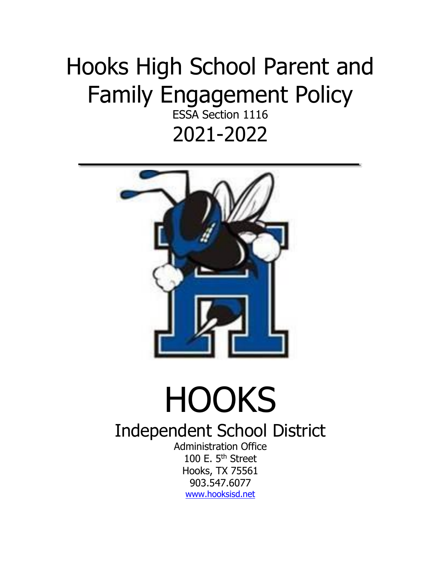## Hooks High School Parent and Family Engagement Policy

ESSA Section 1116 2021-2022



## **HOOKS**

## Independent School District

Administration Office 100 E. 5<sup>th</sup> Street Hooks, TX 75561 903.547.6077 [www.hooksisd.net](http://www.hooksisd.net/)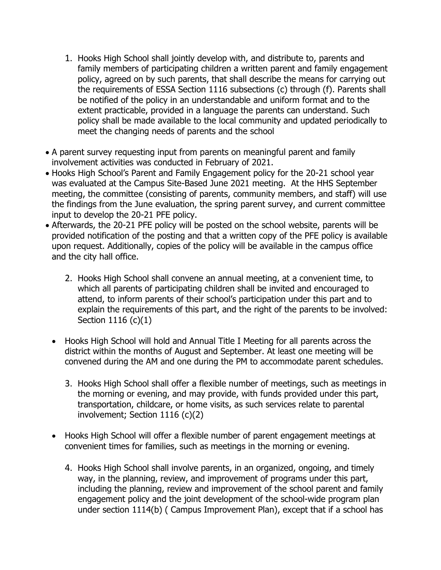- 1. Hooks High School shall jointly develop with, and distribute to, parents and family members of participating children a written parent and family engagement policy, agreed on by such parents, that shall describe the means for carrying out the requirements of ESSA Section 1116 subsections (c) through (f). Parents shall be notified of the policy in an understandable and uniform format and to the extent practicable, provided in a language the parents can understand. Such policy shall be made available to the local community and updated periodically to meet the changing needs of parents and the school
- A parent survey requesting input from parents on meaningful parent and family involvement activities was conducted in February of 2021.
- Hooks High School's Parent and Family Engagement policy for the 20-21 school year was evaluated at the Campus Site-Based June 2021 meeting. At the HHS September meeting, the committee (consisting of parents, community members, and staff) will use the findings from the June evaluation, the spring parent survey, and current committee input to develop the 20-21 PFE policy.
- Afterwards, the 20-21 PFE policy will be posted on the school website, parents will be provided notification of the posting and that a written copy of the PFE policy is available upon request. Additionally, copies of the policy will be available in the campus office and the city hall office.
	- 2. Hooks High School shall convene an annual meeting, at a convenient time, to which all parents of participating children shall be invited and encouraged to attend, to inform parents of their school's participation under this part and to explain the requirements of this part, and the right of the parents to be involved: Section 1116 (c)(1)
	- Hooks High School will hold and Annual Title I Meeting for all parents across the district within the months of August and September. At least one meeting will be convened during the AM and one during the PM to accommodate parent schedules.
		- 3. Hooks High School shall offer a flexible number of meetings, such as meetings in the morning or evening, and may provide, with funds provided under this part, transportation, childcare, or home visits, as such services relate to parental involvement; Section 1116 (c)(2)
	- Hooks High School will offer a flexible number of parent engagement meetings at convenient times for families, such as meetings in the morning or evening.
		- 4. Hooks High School shall involve parents, in an organized, ongoing, and timely way, in the planning, review, and improvement of programs under this part, including the planning, review and improvement of the school parent and family engagement policy and the joint development of the school-wide program plan under section 1114(b) ( Campus Improvement Plan), except that if a school has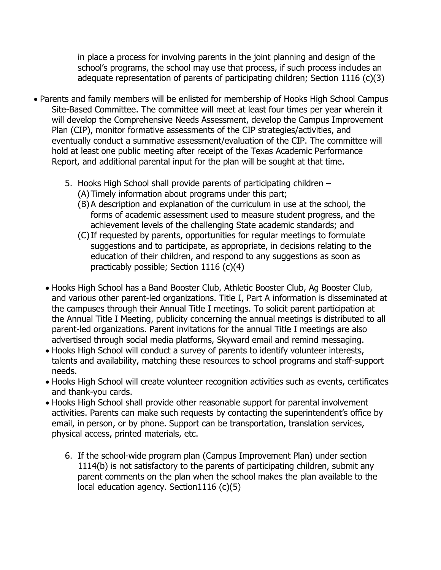in place a process for involving parents in the joint planning and design of the school's programs, the school may use that process, if such process includes an adequate representation of parents of participating children; Section 1116 (c)(3)

- Parents and family members will be enlisted for membership of Hooks High School Campus Site-Based Committee. The committee will meet at least four times per year wherein it will develop the Comprehensive Needs Assessment, develop the Campus Improvement Plan (CIP), monitor formative assessments of the CIP strategies/activities, and eventually conduct a summative assessment/evaluation of the CIP. The committee will hold at least one public meeting after receipt of the Texas Academic Performance Report, and additional parental input for the plan will be sought at that time.
	- 5. Hooks High School shall provide parents of participating children
		- (A)Timely information about programs under this part;
		- (B)A description and explanation of the curriculum in use at the school, the forms of academic assessment used to measure student progress, and the achievement levels of the challenging State academic standards; and
		- (C)If requested by parents, opportunities for regular meetings to formulate suggestions and to participate, as appropriate, in decisions relating to the education of their children, and respond to any suggestions as soon as practicably possible; Section 1116 (c)(4)
	- Hooks High School has a Band Booster Club, Athletic Booster Club, Ag Booster Club, and various other parent-led organizations. Title I, Part A information is disseminated at the campuses through their Annual Title I meetings. To solicit parent participation at the Annual Title I Meeting, publicity concerning the annual meetings is distributed to all parent-led organizations. Parent invitations for the annual Title I meetings are also advertised through social media platforms, Skyward email and remind messaging.
	- Hooks High School will conduct a survey of parents to identify volunteer interests, talents and availability, matching these resources to school programs and staff-support needs.
	- Hooks High School will create volunteer recognition activities such as events, certificates and thank-you cards.
	- Hooks High School shall provide other reasonable support for parental involvement activities. Parents can make such requests by contacting the superintendent's office by email, in person, or by phone. Support can be transportation, translation services, physical access, printed materials, etc.
		- 6. If the school-wide program plan (Campus Improvement Plan) under section 1114(b) is not satisfactory to the parents of participating children, submit any parent comments on the plan when the school makes the plan available to the local education agency. Section1116 (c)(5)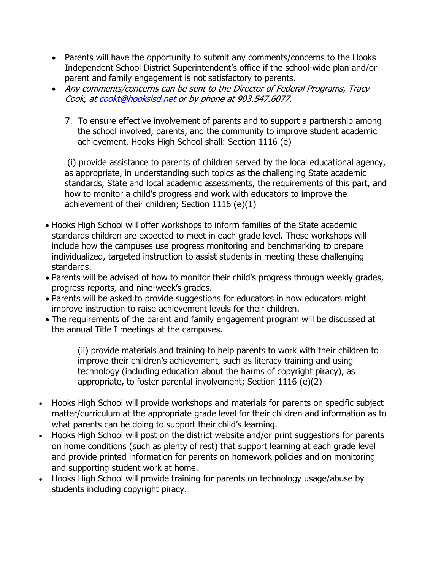- Parents will have the opportunity to submit any comments/concerns to the Hooks Independent School District Superintendent's office if the school-wide plan and/or parent and family engagement is not satisfactory to parents.
- Any comments/concerns can be sent to the Director of Federal Programs, Tracy Cook, a[t cookt@hooksisd.net](mailto:cookt@hooksisd.net) or by phone at 903.547.6077.
	- 7. To ensure effective involvement of parents and to support a partnership among the school involved, parents, and the community to improve student academic achievement, Hooks High School shall: Section 1116 (e)

(i) provide assistance to parents of children served by the local educational agency, as appropriate, in understanding such topics as the challenging State academic standards, State and local academic assessments, the requirements of this part, and how to monitor a child's progress and work with educators to improve the achievement of their children; Section 1116 (e)(1)

- Hooks High School will offer workshops to inform families of the State academic standards children are expected to meet in each grade level. These workshops will include how the campuses use progress monitoring and benchmarking to prepare individualized, targeted instruction to assist students in meeting these challenging standards.
- Parents will be advised of how to monitor their child's progress through weekly grades, progress reports, and nine-week's grades.
- Parents will be asked to provide suggestions for educators in how educators might improve instruction to raise achievement levels for their children.
- The requirements of the parent and family engagement program will be discussed at the annual Title I meetings at the campuses.

(ii) provide materials and training to help parents to work with their children to improve their children's achievement, such as literacy training and using technology (including education about the harms of copyright piracy), as appropriate, to foster parental involvement; Section 1116 (e)(2)

- Hooks High School will provide workshops and materials for parents on specific subject matter/curriculum at the appropriate grade level for their children and information as to what parents can be doing to support their child's learning.
- Hooks High School will post on the district website and/or print suggestions for parents on home conditions (such as plenty of rest) that support learning at each grade level and provide printed information for parents on homework policies and on monitoring and supporting student work at home.
- Hooks High School will provide training for parents on technology usage/abuse by students including copyright piracy.